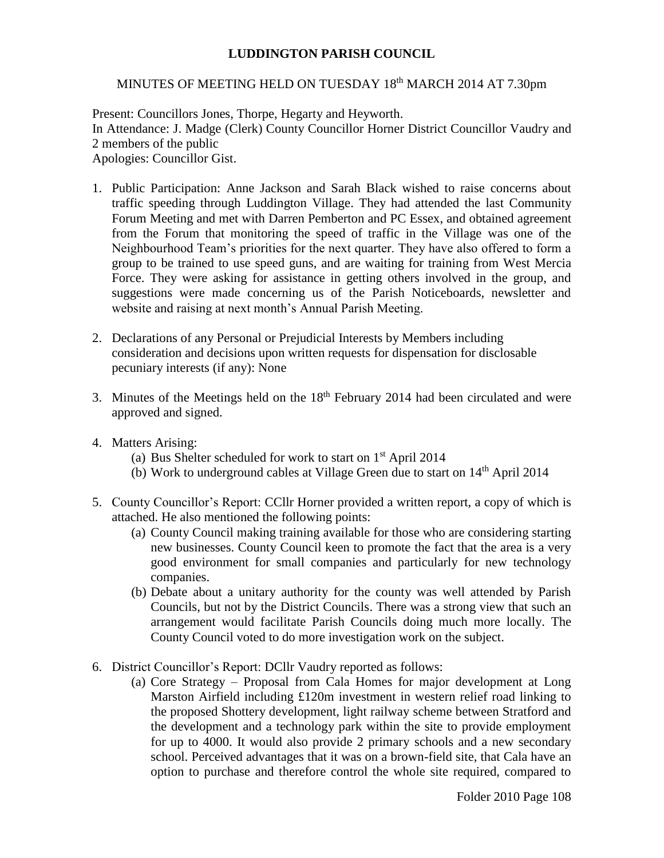## **LUDDINGTON PARISH COUNCIL**

## MINUTES OF MEETING HELD ON TUESDAY 18<sup>th</sup> MARCH 2014 AT 7.30pm

Present: Councillors Jones, Thorpe, Hegarty and Heyworth. In Attendance: J. Madge (Clerk) County Councillor Horner District Councillor Vaudry and 2 members of the public Apologies: Councillor Gist.

- 1. Public Participation: Anne Jackson and Sarah Black wished to raise concerns about traffic speeding through Luddington Village. They had attended the last Community Forum Meeting and met with Darren Pemberton and PC Essex, and obtained agreement from the Forum that monitoring the speed of traffic in the Village was one of the Neighbourhood Team's priorities for the next quarter. They have also offered to form a group to be trained to use speed guns, and are waiting for training from West Mercia Force. They were asking for assistance in getting others involved in the group, and suggestions were made concerning us of the Parish Noticeboards, newsletter and website and raising at next month's Annual Parish Meeting.
- 2. Declarations of any Personal or Prejudicial Interests by Members including consideration and decisions upon written requests for dispensation for disclosable pecuniary interests (if any): None
- 3. Minutes of the Meetings held on the  $18<sup>th</sup>$  February 2014 had been circulated and were approved and signed.
- 4. Matters Arising:
	- (a) Bus Shelter scheduled for work to start on 1st April 2014
	- (b) Work to underground cables at Village Green due to start on  $14<sup>th</sup>$  April 2014
- 5. County Councillor's Report: CCllr Horner provided a written report, a copy of which is attached. He also mentioned the following points:
	- (a) County Council making training available for those who are considering starting new businesses. County Council keen to promote the fact that the area is a very good environment for small companies and particularly for new technology companies.
	- (b) Debate about a unitary authority for the county was well attended by Parish Councils, but not by the District Councils. There was a strong view that such an arrangement would facilitate Parish Councils doing much more locally. The County Council voted to do more investigation work on the subject.
- 6. District Councillor's Report: DCllr Vaudry reported as follows:
	- (a) Core Strategy Proposal from Cala Homes for major development at Long Marston Airfield including £120m investment in western relief road linking to the proposed Shottery development, light railway scheme between Stratford and the development and a technology park within the site to provide employment for up to 4000. It would also provide 2 primary schools and a new secondary school. Perceived advantages that it was on a brown-field site, that Cala have an option to purchase and therefore control the whole site required, compared to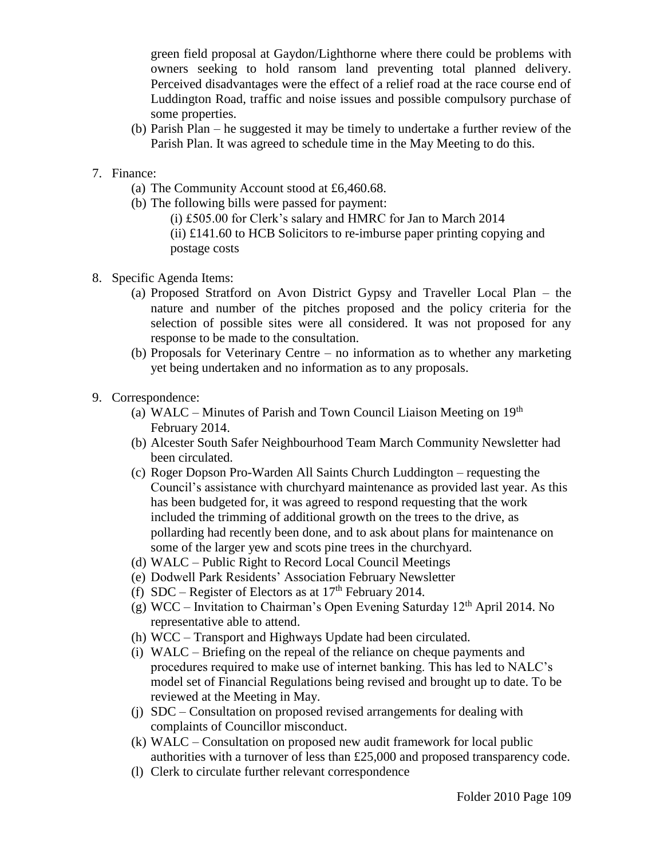green field proposal at Gaydon/Lighthorne where there could be problems with owners seeking to hold ransom land preventing total planned delivery. Perceived disadvantages were the effect of a relief road at the race course end of Luddington Road, traffic and noise issues and possible compulsory purchase of some properties.

- (b) Parish Plan he suggested it may be timely to undertake a further review of the Parish Plan. It was agreed to schedule time in the May Meeting to do this.
- 7. Finance:
	- (a) The Community Account stood at £6,460.68.
	- (b) The following bills were passed for payment: (i) £505.00 for Clerk's salary and HMRC for Jan to March 2014  $(ii)$  £141.60 to HCB Solicitors to re-imburse paper printing copying and postage costs
- 8. Specific Agenda Items:
	- (a) Proposed Stratford on Avon District Gypsy and Traveller Local Plan the nature and number of the pitches proposed and the policy criteria for the selection of possible sites were all considered. It was not proposed for any response to be made to the consultation.
	- (b) Proposals for Veterinary Centre no information as to whether any marketing yet being undertaken and no information as to any proposals.
- 9. Correspondence:
	- (a) WALC Minutes of Parish and Town Council Liaison Meeting on  $19<sup>th</sup>$ February 2014.
	- (b) Alcester South Safer Neighbourhood Team March Community Newsletter had been circulated.
	- (c) Roger Dopson Pro-Warden All Saints Church Luddington requesting the Council's assistance with churchyard maintenance as provided last year. As this has been budgeted for, it was agreed to respond requesting that the work included the trimming of additional growth on the trees to the drive, as pollarding had recently been done, and to ask about plans for maintenance on some of the larger yew and scots pine trees in the churchyard.
	- (d) WALC Public Right to Record Local Council Meetings
	- (e) Dodwell Park Residents' Association February Newsletter
	- (f) SDC Register of Electors as at  $17<sup>th</sup>$  February 2014.
	- (g) WCC Invitation to Chairman's Open Evening Saturday  $12<sup>th</sup>$  April 2014. No representative able to attend.
	- (h) WCC Transport and Highways Update had been circulated.
	- (i) WALC Briefing on the repeal of the reliance on cheque payments and procedures required to make use of internet banking. This has led to NALC's model set of Financial Regulations being revised and brought up to date. To be reviewed at the Meeting in May.
	- (j) SDC Consultation on proposed revised arrangements for dealing with complaints of Councillor misconduct.
	- (k) WALC Consultation on proposed new audit framework for local public authorities with a turnover of less than £25,000 and proposed transparency code.
	- (l) Clerk to circulate further relevant correspondence